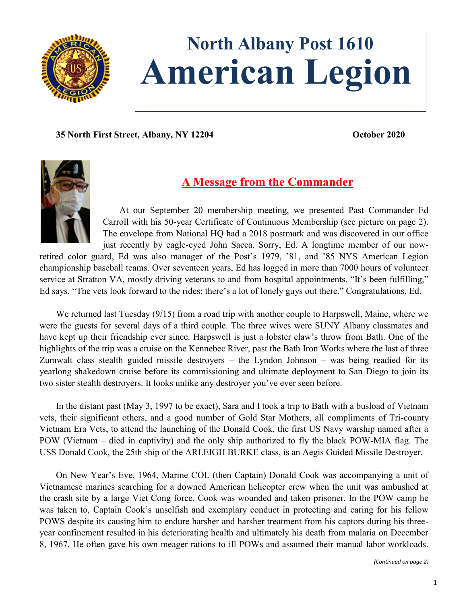

# **North Albany Post 1610 American Legion**

**35 North First Street, Albany, NY 12204 October 2020**



# **A Message from the Commander**

At our September 20 membership meeting, we presented Past Commander Ed Carroll with his 50-year Certificate of Continuous Membership (see picture on page 2). The envelope from National HQ had a 2018 postmark and was discovered in our office just recently by eagle-eyed John Sacca. Sorry, Ed. A longtime member of our now-

retired color guard, Ed was also manager of the Post's 1979, '81, and '85 NYS American Legion championship baseball teams. Over seventeen years, Ed has logged in more than 7000 hours of volunteer service at Stratton VA, mostly driving veterans to and from hospital appointments. "It's been fulfilling," Ed says. "The vets look forward to the rides; there's a lot of lonely guys out there." Congratulations, Ed.

We returned last Tuesday (9/15) from a road trip with another couple to Harpswell, Maine, where we were the guests for several days of a third couple. The three wives were SUNY Albany classmates and have kept up their friendship ever since. Harpswell is just a lobster claw's throw from Bath. One of the highlights of the trip was a cruise on the Kennebec River, past the Bath Iron Works where the last of three Zumwalt class stealth guided missile destroyers – the Lyndon Johnson – was being readied for its yearlong shakedown cruise before its commissioning and ultimate deployment to San Diego to join its two sister stealth destroyers. It looks unlike any destroyer you've ever seen before.

In the distant past (May 3, 1997 to be exact), Sara and I took a trip to Bath with a busload of Vietnam vets, their significant others, and a good number of Gold Star Mothers, all compliments of Tri-county Vietnam Era Vets, to attend the launching of the Donald Cook, the first US Navy warship named after a POW (Vietnam – died in captivity) and the only ship authorized to fly the black POW-MIA flag. The USS Donald Cook, the 25th ship of the ARLEIGH BURKE class, is an Aegis Guided Missile Destroyer.

On New Year's Eve, 1964, Marine COL (then Captain) Donald Cook was accompanying a unit of Vietnamese marines searching for a downed American helicopter crew when the unit was ambushed at the crash site by a large Viet Cong force. Cook was wounded and taken prisoner. In the POW camp he was taken to, Captain Cook's unselfish and exemplary conduct in protecting and caring for his fellow POWS despite its causing him to endure harsher and harsher treatment from his captors during his threeyear confinement resulted in his deteriorating health and ultimately his death from malaria on December 8, 1967. He often gave his own meager rations to ill POWs and assumed their manual labor workloads.

*(Continued on page 2)*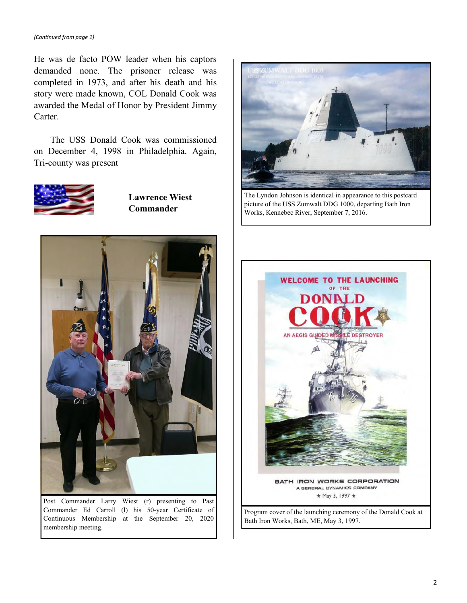He was de facto POW leader when his captors demanded none. The prisoner release was completed in 1973, and after his death and his story were made known, COL Donald Cook was awarded the Medal of Honor by President Jimmy Carter.

The USS Donald Cook was commissioned on December 4, 1998 in Philadelphia. Again, Tri-county was present



**Lawrence Wiest Commander**



Post Commander Larry Wiest (r) presenting to Past Commander Ed Carroll (l) his 50-year Certificate of Continuous Membership at the September 20, 2020 membership meeting.



The Lyndon Johnson is identical in appearance to this postcard picture of the USS Zumwalt DDG 1000, departing Bath Iron Works, Kennebec River, September 7, 2016.



Program cover of the launching ceremony of the Donald Cook at Bath Iron Works, Bath, ME, May 3, 1997.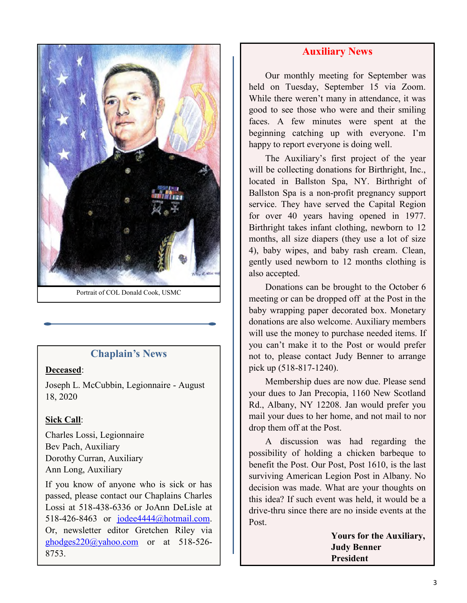

Portrait of COL Donald Cook, USMC

### **Chaplain's News**

#### **Deceased**:

Joseph L. McCubbin, Legionnaire - August 18, 2020

#### **Sick Call**:

Charles Lossi, Legionnaire Bev Pach, Auxiliary Dorothy Curran, Auxiliary Ann Long, Auxiliary

If you know of anyone who is sick or has passed, please contact our Chaplains Charles Lossi at 518-438-6336 or JoAnn DeLisle at 518-426-8463 or [jodee4444@hotmail.com.](mailto:jodee4444@hotmail.com) Or, newsletter editor Gretchen Riley via [ghodges220@yahoo.com](mailto:ghodges220@yahoo.com) or at 518-526- 8753.

## **Auxiliary News**

Our monthly meeting for September was held on Tuesday, September 15 via Zoom. While there weren't many in attendance, it was good to see those who were and their smiling faces. A few minutes were spent at the beginning catching up with everyone. I'm happy to report everyone is doing well.

The Auxiliary's first project of the year will be collecting donations for Birthright, Inc., located in Ballston Spa, NY. Birthright of Ballston Spa is a non-profit pregnancy support service. They have served the Capital Region for over 40 years having opened in 1977. Birthright takes infant clothing, newborn to 12 months, all size diapers (they use a lot of size 4), baby wipes, and baby rash cream. Clean, gently used newborn to 12 months clothing is also accepted.

Donations can be brought to the October 6 meeting or can be dropped off at the Post in the baby wrapping paper decorated box. Monetary donations are also welcome. Auxiliary members will use the money to purchase needed items. If you can't make it to the Post or would prefer not to, please contact Judy Benner to arrange pick up (518-817-1240).

Membership dues are now due. Please send your dues to Jan Precopia, 1160 New Scotland Rd., Albany, NY 12208. Jan would prefer you mail your dues to her home, and not mail to nor drop them off at the Post.

A discussion was had regarding the possibility of holding a chicken barbeque to benefit the Post. Our Post, Post 1610, is the last surviving American Legion Post in Albany. No decision was made. What are your thoughts on this idea? If such event was held, it would be a drive-thru since there are no inside events at the Post.

> **Yours for the Auxiliary, Judy Benner President**